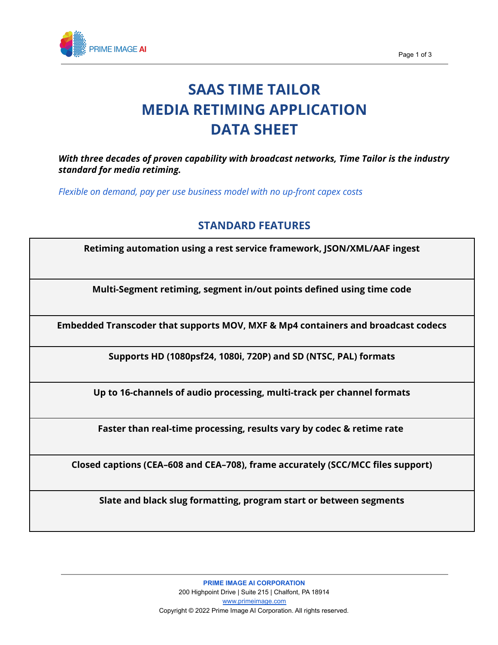

# **SAAS TIME TAILOR MEDIA RETIMING APPLICATION DATA SHEET**

*With three decades of proven capability with broadcast networks, Time Tailor is the industry standard for media retiming.*

*Flexible on demand, pay per use business model with no up-front capex costs*

## **STANDARD FEATURES**

**Retiming automation using a rest service framework, JSON/XML/AAF ingest**

**Multi-Segment retiming, segment in/out points defined using time code**

**Embedded Transcoder that supports MOV, MXF & Mp4 containers and broadcast codecs**

**Supports HD (1080psf24, 1080i, 720P) and SD (NTSC, PAL) formats**

**Up to 16-channels of audio processing, multi-track per channel formats**

**Faster than real-time processing, results vary by codec & retime rate**

**Closed captions (CEA–608 and CEA–708), frame accurately (SCC/MCC files support)**

**Slate and black slug formatting, program start or between segments**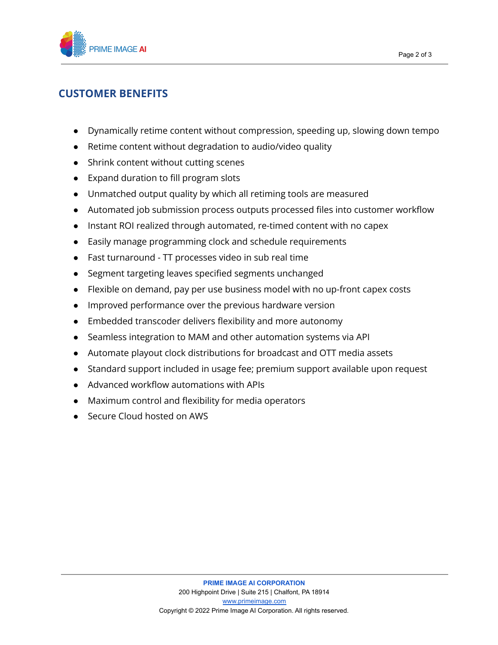

# **CUSTOMER BENEFITS**

- Dynamically retime content without compression, speeding up, slowing down tempo
- Retime content without degradation to audio/video quality
- Shrink content without cutting scenes
- Expand duration to fill program slots
- Unmatched output quality by which all retiming tools are measured
- Automated job submission process outputs processed files into customer workflow
- Instant ROI realized through automated, re-timed content with no capex
- Easily manage programming clock and schedule requirements
- Fast turnaround TT processes video in sub real time
- Segment targeting leaves specified segments unchanged
- Flexible on demand, pay per use business model with no up-front capex costs
- Improved performance over the previous hardware version
- Embedded transcoder delivers flexibility and more autonomy
- Seamless integration to MAM and other automation systems via API
- Automate playout clock distributions for broadcast and OTT media assets
- Standard support included in usage fee; premium support available upon request
- Advanced workflow automations with APIs
- Maximum control and flexibility for media operators
- Secure Cloud hosted on AWS